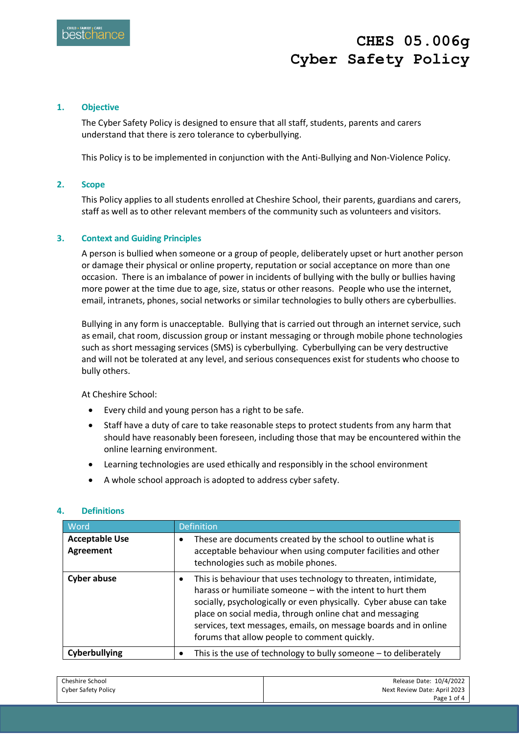### **1. Objective**

The Cyber Safety Policy is designed to ensure that all staff, students, parents and carers understand that there is zero tolerance to cyberbullying.

This Policy is to be implemented in conjunction with the Anti-Bullying and Non-Violence Policy.

### **2. Scope**

This Policy applies to all students enrolled at Cheshire School, their parents, guardians and carers, staff as well as to other relevant members of the community such as volunteers and visitors.

### **3. Context and Guiding Principles**

A person is bullied when someone or a group of people, deliberately upset or hurt another person or damage their physical or online property, reputation or social acceptance on more than one occasion. There is an imbalance of power in incidents of bullying with the bully or bullies having more power at the time due to age, size, status or other reasons. People who use the internet, email, intranets, phones, social networks or similar technologies to bully others are cyberbullies.

Bullying in any form is unacceptable. Bullying that is carried out through an internet service, such as email, chat room, discussion group or instant messaging or through mobile phone technologies such as short messaging services (SMS) is cyberbullying. Cyberbullying can be very destructive and will not be tolerated at any level, and serious consequences exist for students who choose to bully others.

At Cheshire School:

- Every child and young person has a right to be safe.
- Staff have a duty of care to take reasonable steps to protect students from any harm that should have reasonably been foreseen, including those that may be encountered within the online learning environment.
- Learning technologies are used ethically and responsibly in the school environment
- A whole school approach is adopted to address cyber safety.

#### **4. Definitions**

| Word                               | <b>Definition</b>                                                                                                                                                                                                                                                                                                                                                                                |  |
|------------------------------------|--------------------------------------------------------------------------------------------------------------------------------------------------------------------------------------------------------------------------------------------------------------------------------------------------------------------------------------------------------------------------------------------------|--|
| <b>Acceptable Use</b><br>Agreement | These are documents created by the school to outline what is<br>٠<br>acceptable behaviour when using computer facilities and other<br>technologies such as mobile phones.                                                                                                                                                                                                                        |  |
| <b>Cyber abuse</b>                 | This is behaviour that uses technology to threaten, intimidate,<br>$\bullet$<br>harass or humiliate someone - with the intent to hurt them<br>socially, psychologically or even physically. Cyber abuse can take<br>place on social media, through online chat and messaging<br>services, text messages, emails, on message boards and in online<br>forums that allow people to comment quickly. |  |
| Cyberbullying                      | This is the use of technology to bully someone - to deliberately<br>$\bullet$                                                                                                                                                                                                                                                                                                                    |  |

| Cheshire School     | Release Date: 10/4/2022      |
|---------------------|------------------------------|
| Cyber Safety Policy | Next Review Date: April 2023 |
|                     | Page 1 of 4                  |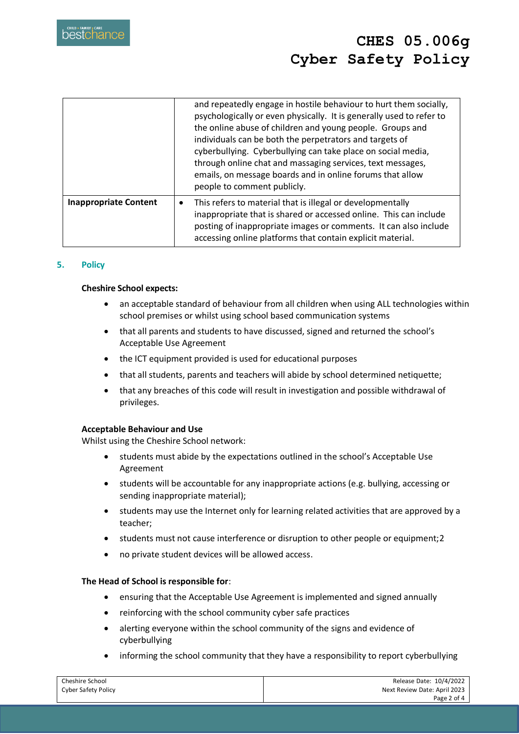|                              | and repeatedly engage in hostile behaviour to hurt them socially,<br>psychologically or even physically. It is generally used to refer to<br>the online abuse of children and young people. Groups and<br>individuals can be both the perpetrators and targets of<br>cyberbullying. Cyberbullying can take place on social media,<br>through online chat and massaging services, text messages,<br>emails, on message boards and in online forums that allow<br>people to comment publicly. |
|------------------------------|---------------------------------------------------------------------------------------------------------------------------------------------------------------------------------------------------------------------------------------------------------------------------------------------------------------------------------------------------------------------------------------------------------------------------------------------------------------------------------------------|
| <b>Inappropriate Content</b> | This refers to material that is illegal or developmentally<br>٠<br>inappropriate that is shared or accessed online. This can include<br>posting of inappropriate images or comments. It can also include<br>accessing online platforms that contain explicit material.                                                                                                                                                                                                                      |

### **5. Policy**

#### **Cheshire School expects:**

- an acceptable standard of behaviour from all children when using ALL technologies within school premises or whilst using school based communication systems
- that all parents and students to have discussed, signed and returned the school's Acceptable Use Agreement
- the ICT equipment provided is used for educational purposes
- that all students, parents and teachers will abide by school determined netiquette;
- that any breaches of this code will result in investigation and possible withdrawal of privileges.

#### **Acceptable Behaviour and Use**

Whilst using the Cheshire School network:

- students must abide by the expectations outlined in the school's Acceptable Use Agreement
- students will be accountable for any inappropriate actions (e.g. bullying, accessing or sending inappropriate material);
- students may use the Internet only for learning related activities that are approved by a teacher;
- students must not cause interference or disruption to other people or equipment; 2
- no private student devices will be allowed access.

#### **The Head of School is responsible for**:

- ensuring that the Acceptable Use Agreement is implemented and signed annually
- reinforcing with the school community cyber safe practices
- alerting everyone within the school community of the signs and evidence of cyberbullying
- informing the school community that they have a responsibility to report cyberbullying

| Cheshire School            | Release Date: 10/4/2022      |
|----------------------------|------------------------------|
| <b>Cyber Safety Policy</b> | Next Review Date: April 2023 |
|                            | Page 2 of 4                  |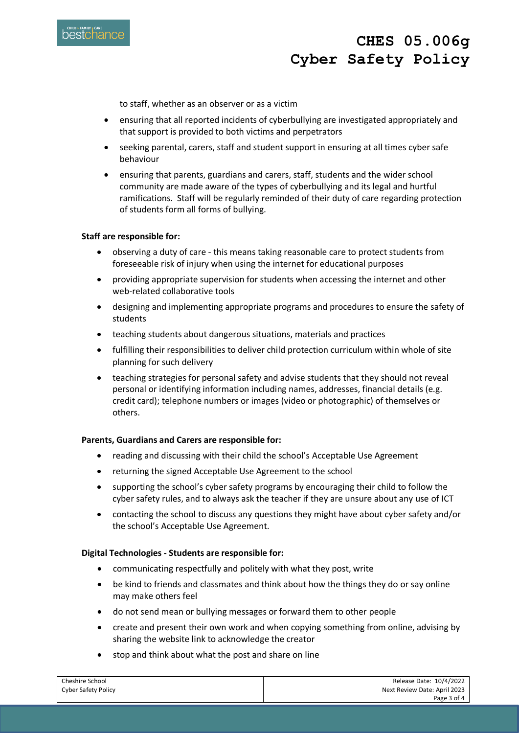

to staff, whether as an observer or as a victim

- ensuring that all reported incidents of cyberbullying are investigated appropriately and that support is provided to both victims and perpetrators
- seeking parental, carers, staff and student support in ensuring at all times cyber safe behaviour
- ensuring that parents, guardians and carers, staff, students and the wider school community are made aware of the types of cyberbullying and its legal and hurtful ramifications. Staff will be regularly reminded of their duty of care regarding protection of students form all forms of bullying.

#### **Staff are responsible for:**

- observing a duty of care this means taking reasonable care to protect students from foreseeable risk of injury when using the internet for educational purposes
- providing appropriate supervision for students when accessing the internet and other web-related collaborative tools
- designing and implementing appropriate programs and procedures to ensure the safety of students
- teaching students about dangerous situations, materials and practices
- fulfilling their responsibilities to deliver child protection curriculum within whole of site planning for such delivery
- teaching strategies for personal safety and advise students that they should not reveal personal or identifying information including names, addresses, financial details (e.g. credit card); telephone numbers or images (video or photographic) of themselves or others.

#### **Parents, Guardians and Carers are responsible for:**

- reading and discussing with their child the school's Acceptable Use Agreement
- returning the signed Acceptable Use Agreement to the school
- supporting the school's cyber safety programs by encouraging their child to follow the cyber safety rules, and to always ask the teacher if they are unsure about any use of ICT
- contacting the school to discuss any questions they might have about cyber safety and/or the school's Acceptable Use Agreement.

#### **Digital Technologies - Students are responsible for:**

- communicating respectfully and politely with what they post, write
- be kind to friends and classmates and think about how the things they do or say online may make others feel
- do not send mean or bullying messages or forward them to other people
- create and present their own work and when copying something from online, advising by sharing the website link to acknowledge the creator
- stop and think about what the post and share on line

| Cheshire School            | Release Date: 10/4/2022      |
|----------------------------|------------------------------|
| <b>Cyber Safety Policy</b> | Next Review Date: April 2023 |
|                            | Page 3 of 4                  |